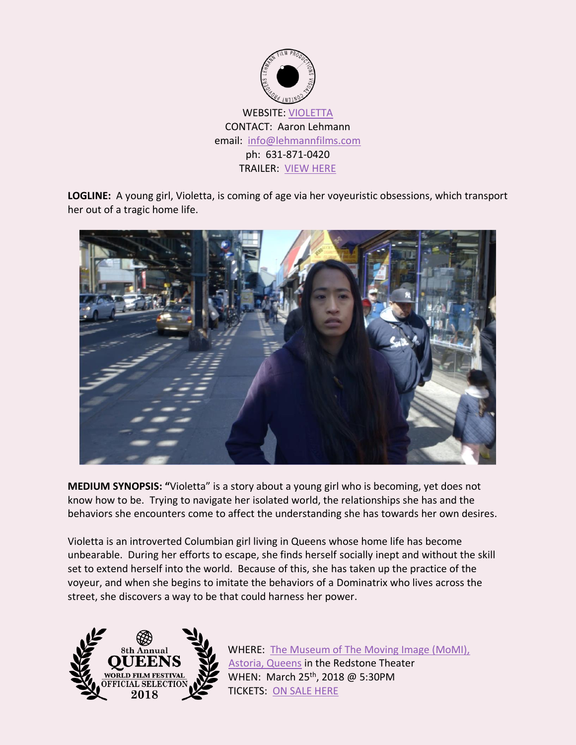

**LOGLINE:** A young girl, Violetta, is coming of age via her voyeuristic obsessions, which transport her out of a tragic home life.



**MEDIUM SYNOPSIS: "**Violetta" is a story about a young girl who is becoming, yet does not know how to be. Trying to navigate her isolated world, the relationships she has and the behaviors she encounters come to affect the understanding she has towards her own desires.

Violetta is an introverted Columbian girl living in Queens whose home life has become unbearable. During her efforts to escape, she finds herself socially inept and without the skill set to extend herself into the world. Because of this, she has taken up the practice of the voyeur, and when she begins to imitate the behaviors of a Dominatrix who lives across the street, she discovers a way to be that could harness her power.

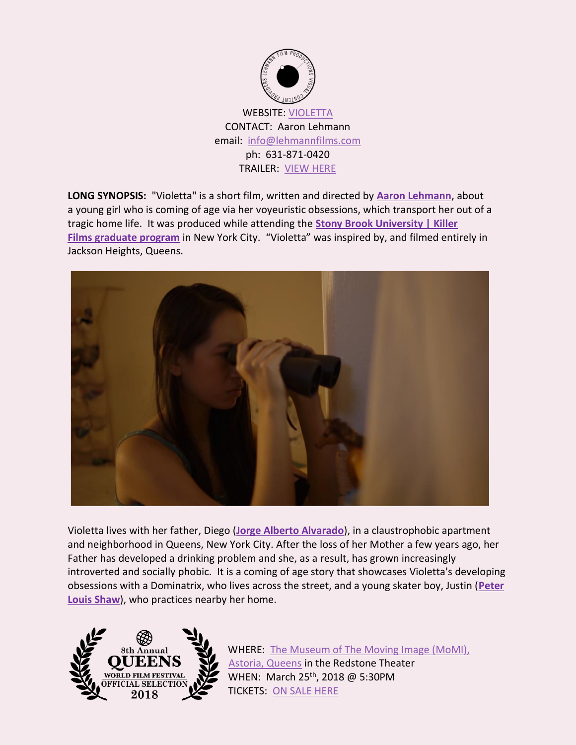![](_page_1_Picture_0.jpeg)

**LONG SYNOPSIS:** "Violetta" is a short film, written and directed by **[Aaron Lehmann](http://www.imdb.com/name/nm3228800/)**, about a young girl who is coming of age via her voyeuristic obsessions, which transport her out of a tragic home life. It was produced while attending the **[Stony Brook University | Killer](http://www.stonybrook.edu/southampton/mfa/film/index.html)  Films [graduate program](http://www.stonybrook.edu/southampton/mfa/film/index.html)** in New York City. "Violetta" was inspired by, and filmed entirely in Jackson Heights, Queens.

![](_page_1_Picture_2.jpeg)

Violetta lives with her father, Diego (**[Jorge Alberto Alvarado](http://www.imdb.com/name/nm3086948/)**), in a claustrophobic apartment and neighborhood in Queens, New York City. After the loss of her Mother a few years ago, her Father has developed a drinking problem and she, as a result, has grown increasingly introverted and socially phobic. It is a coming of age story that showcases Violetta's developing obsessions with a Dominatrix, who lives across the street, and a young skater boy, Justin (**[Peter](http://www.imdb.com/name/nm7766050/?mode=desktop&ref_=m_ft_dsk)  [Louis Shaw](http://www.imdb.com/name/nm7766050/?mode=desktop&ref_=m_ft_dsk)**), who practices nearby her home.

![](_page_1_Picture_4.jpeg)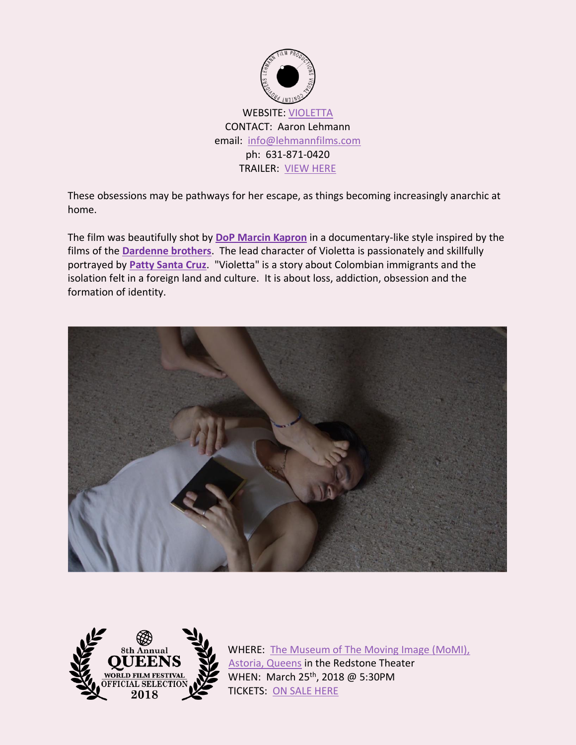![](_page_2_Picture_0.jpeg)

These obsessions may be pathways for her escape, as things becoming increasingly anarchic at home.

The film was beautifully shot by **[DoP Marcin Kapron](http://marcinkapron.com/)** in a documentary-like style inspired by the films of the **[Dardenne brothers](https://en.wikipedia.org/wiki/Dardenne_brothers)**. The lead character of Violetta is passionately and skillfully portrayed by **[Patty Santa Cruz](http://www.imdb.com/name/nm6603019/)**. "Violetta" is a story about Colombian immigrants and the isolation felt in a foreign land and culture. It is about loss, addiction, obsession and the formation of identity.

![](_page_2_Picture_3.jpeg)

![](_page_2_Picture_4.jpeg)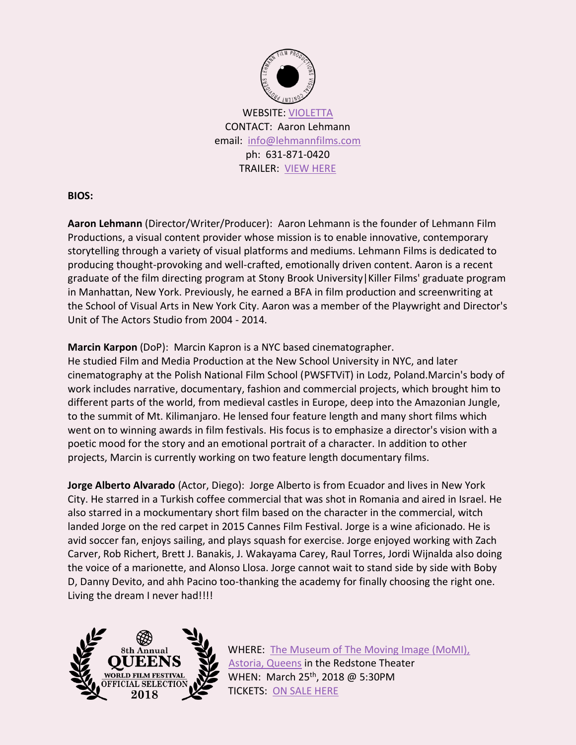![](_page_3_Picture_0.jpeg)

**BIOS:**

**Aaron Lehmann** (Director/Writer/Producer): Aaron Lehmann is the founder of Lehmann Film Productions, a visual content provider whose mission is to enable innovative, contemporary storytelling through a variety of visual platforms and mediums. Lehmann Films is dedicated to producing thought-provoking and well-crafted, emotionally driven content. Aaron is a recent graduate of the film directing program at Stony Brook University|Killer Films' graduate program in Manhattan, New York. Previously, he earned a BFA in film production and screenwriting at the School of Visual Arts in New York City. Aaron was a member of the Playwright and Director's Unit of The Actors Studio from 2004 - 2014.

## **Marcin Karpon** (DoP): Marcin Kapron is a NYC based cinematographer.

He studied Film and Media Production at the New School University in NYC, and later cinematography at the Polish National Film School (PWSFTViT) in Lodz, Poland.Marcin's body of work includes narrative, documentary, fashion and commercial projects, which brought him to different parts of the world, from medieval castles in Europe, deep into the Amazonian Jungle, to the summit of Mt. Kilimanjaro. He lensed four feature length and many short films which went on to winning awards in film festivals. His focus is to emphasize a director's vision with a poetic mood for the story and an emotional portrait of a character. In addition to other projects, Marcin is currently working on two feature length documentary films.

**Jorge Alberto Alvarado** (Actor, Diego): Jorge Alberto is from Ecuador and lives in New York City. He starred in a Turkish coffee commercial that was shot in Romania and aired in Israel. He also starred in a mockumentary short film based on the character in the commercial, witch landed Jorge on the red carpet in 2015 Cannes Film Festival. Jorge is a wine aficionado. He is avid soccer fan, enjoys sailing, and plays squash for exercise. Jorge enjoyed working with Zach Carver, Rob Richert, Brett J. Banakis, J. Wakayama Carey, Raul Torres, Jordi Wijnalda also doing the voice of a marionette, and Alonso Llosa. Jorge cannot wait to stand side by side with Boby D, Danny Devito, and ahh Pacino too-thanking the academy for finally choosing the right one. Living the dream I never had!!!!

![](_page_3_Picture_6.jpeg)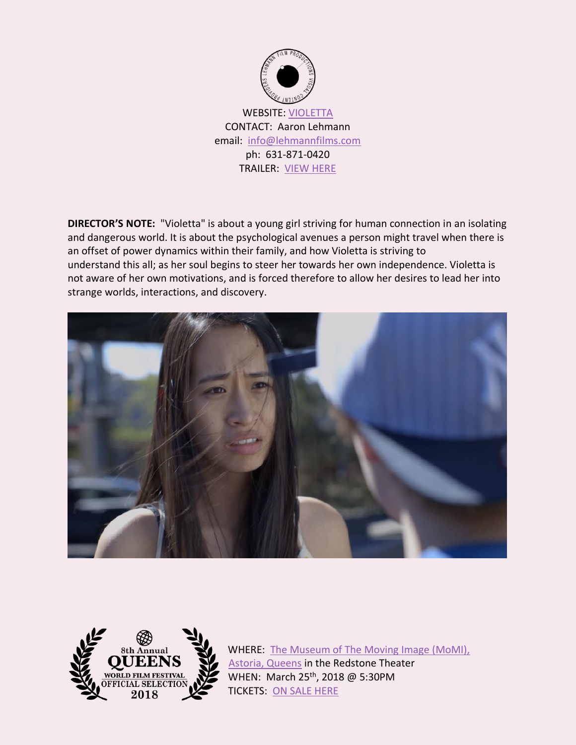![](_page_4_Picture_0.jpeg)

**DIRECTOR'S NOTE:** "Violetta" is about a young girl striving for human connection in an isolating and dangerous world. It is about the psychological avenues a person might travel when there is an offset of power dynamics within their family, and how Violetta is striving to understand this all; as her soul begins to steer her towards her own independence. Violetta is not aware of her own motivations, and is forced therefore to allow her desires to lead her into strange worlds, interactions, and discovery.

![](_page_4_Picture_2.jpeg)

![](_page_4_Picture_3.jpeg)